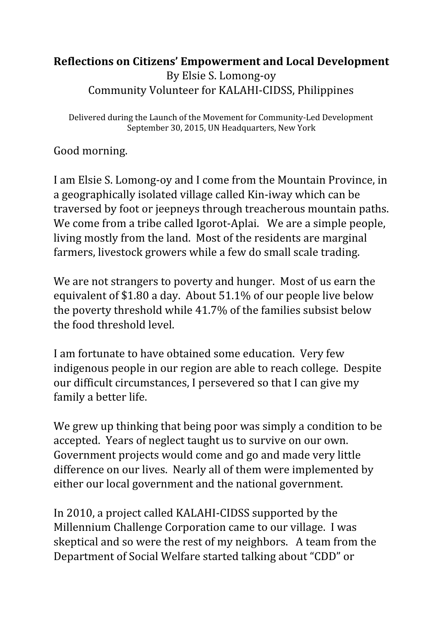## **Reflections on Citizens' Empowerment and Local Development** By Elsie S. Lomong-oy Community Volunteer for KALAHI-CIDSS, Philippines

Delivered during the Launch of the Movement for Community-Led Development September 30, 2015, UN Headquarters, New York

Good morning.

I am Elsie S. Lomong-oy and I come from the Mountain Province, in a geographically isolated village called Kin-iway which can be traversed by foot or jeepneys through treacherous mountain paths. We come from a tribe called Igorot-Aplai. We are a simple people, living mostly from the land. Most of the residents are marginal farmers, livestock growers while a few do small scale trading.

We are not strangers to poverty and hunger. Most of us earn the equivalent of \$1.80 a day. About 51.1% of our people live below the poverty threshold while 41.7% of the families subsist below the food threshold level.

I am fortunate to have obtained some education. Very few indigenous people in our region are able to reach college. Despite our difficult circumstances, I persevered so that I can give my family a better life.

We grew up thinking that being poor was simply a condition to be accepted. Years of neglect taught us to survive on our own. Government projects would come and go and made very little difference on our lives. Nearly all of them were implemented by either our local government and the national government.

In 2010, a project called KALAHI-CIDSS supported by the Millennium Challenge Corporation came to our village. I was skeptical and so were the rest of my neighbors. A team from the Department of Social Welfare started talking about "CDD" or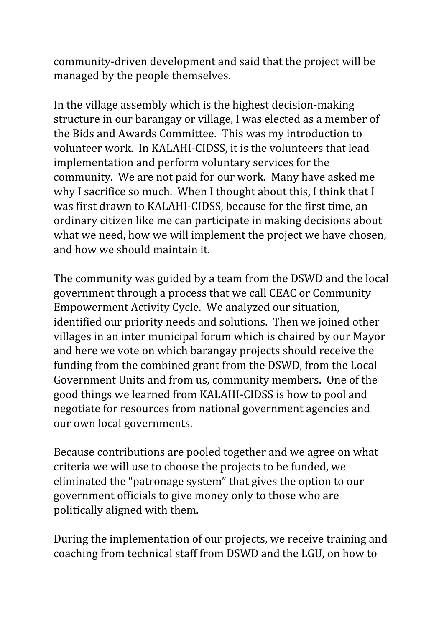community-driven development and said that the project will be managed by the people themselves.

In the village assembly which is the highest decision-making structure in our barangay or village, I was elected as a member of the Bids and Awards Committee. This was my introduction to volunteer work. In KALAHI-CIDSS, it is the volunteers that lead implementation and perform voluntary services for the community. We are not paid for our work. Many have asked me why I sacrifice so much. When I thought about this, I think that I was first drawn to KALAHI-CIDSS, because for the first time, an ordinary citizen like me can participate in making decisions about what we need, how we will implement the project we have chosen, and how we should maintain it.

The community was guided by a team from the DSWD and the local government through a process that we call CEAC or Community Empowerment Activity Cycle. We analyzed our situation, identified our priority needs and solutions. Then we joined other villages in an inter municipal forum which is chaired by our Mayor and here we vote on which barangay projects should receive the funding from the combined grant from the DSWD, from the Local Government Units and from us, community members. One of the good things we learned from KALAHI-CIDSS is how to pool and negotiate for resources from national government agencies and our own local governments.

Because contributions are pooled together and we agree on what criteria we will use to choose the projects to be funded, we eliminated the "patronage system" that gives the option to our government officials to give money only to those who are politically aligned with them.

During the implementation of our projects, we receive training and coaching from technical staff from DSWD and the LGU, on how to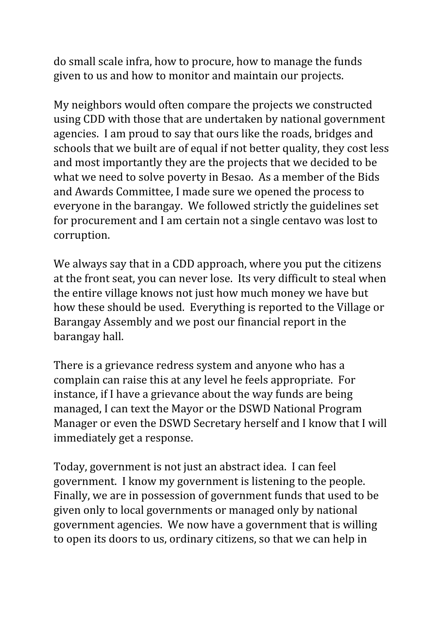do small scale infra, how to procure, how to manage the funds given to us and how to monitor and maintain our projects.

My neighbors would often compare the projects we constructed using CDD with those that are undertaken by national government agencies. I am proud to say that ours like the roads, bridges and schools that we built are of equal if not better quality, they cost less and most importantly they are the projects that we decided to be what we need to solve poverty in Besao. As a member of the Bids and Awards Committee, I made sure we opened the process to everyone in the barangay. We followed strictly the guidelines set for procurement and I am certain not a single centavo was lost to corruption.

We always say that in a CDD approach, where you put the citizens at the front seat, you can never lose. Its very difficult to steal when the entire village knows not just how much money we have but how these should be used. Everything is reported to the Village or Barangay Assembly and we post our financial report in the barangay hall.

There is a grievance redress system and anyone who has a complain can raise this at any level he feels appropriate. For instance, if I have a grievance about the way funds are being managed, I can text the Mayor or the DSWD National Program Manager or even the DSWD Secretary herself and I know that I will immediately get a response.

Today, government is not just an abstract idea. I can feel government. I know my government is listening to the people. Finally, we are in possession of government funds that used to be given only to local governments or managed only by national government agencies. We now have a government that is willing to open its doors to us, ordinary citizens, so that we can help in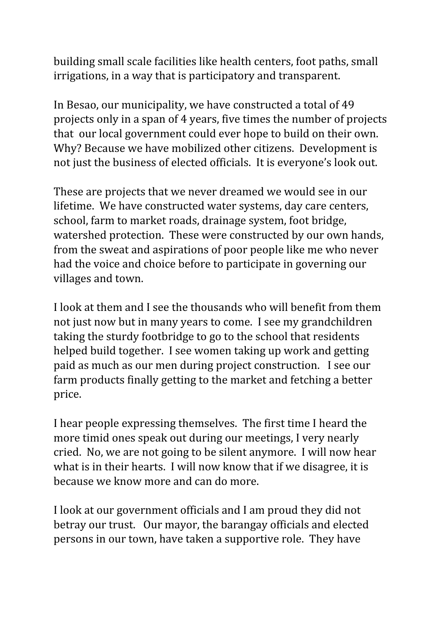building small scale facilities like health centers, foot paths, small irrigations, in a way that is participatory and transparent.

In Besao, our municipality, we have constructed a total of 49 projects only in a span of 4 years, five times the number of projects that our local government could ever hope to build on their own. Why? Because we have mobilized other citizens. Development is not just the business of elected officials. It is everyone's look out.

These are projects that we never dreamed we would see in our lifetime. We have constructed water systems, day care centers, school, farm to market roads, drainage system, foot bridge, watershed protection. These were constructed by our own hands, from the sweat and aspirations of poor people like me who never had the voice and choice before to participate in governing our villages and town.

I look at them and I see the thousands who will benefit from them not just now but in many years to come. I see my grandchildren taking the sturdy footbridge to go to the school that residents helped build together. I see women taking up work and getting paid as much as our men during project construction. I see our farm products finally getting to the market and fetching a better price.

I hear people expressing themselves. The first time I heard the more timid ones speak out during our meetings, I very nearly cried. No, we are not going to be silent anymore. I will now hear what is in their hearts. I will now know that if we disagree, it is because we know more and can do more.

I look at our government officials and I am proud they did not betray our trust. Our mayor, the barangay officials and elected persons in our town, have taken a supportive role. They have